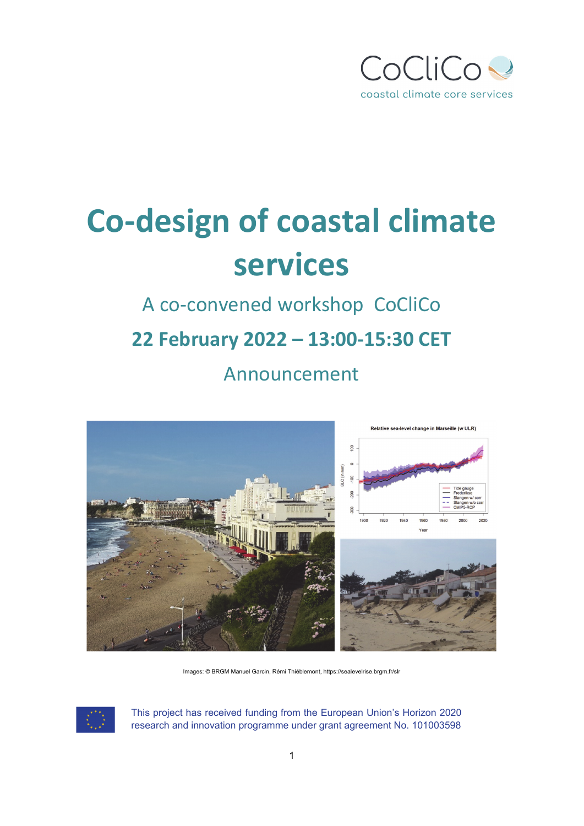

# **Co‐design of coastal climate services**

#### A co‐convened workshop CoCliCo

## **22 February 2022 – 13:00‐15:30 CET**

Announcement



Images: © BRGM Manuel Garcin, Rémi Thiéblemont, https://sealevelrise.brgm.fr/slr

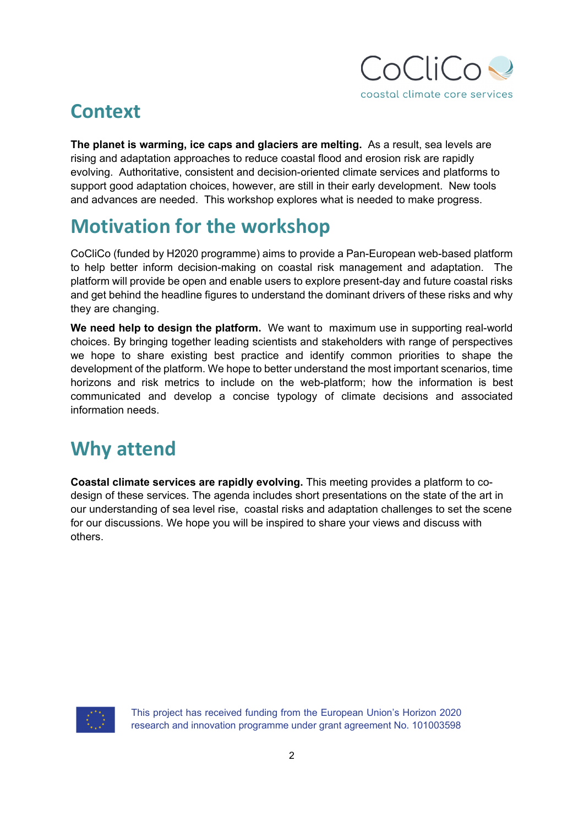

#### **Context**

**The planet is warming, ice caps and glaciers are melting.** As a result, sea levels are rising and adaptation approaches to reduce coastal flood and erosion risk are rapidly evolving. Authoritative, consistent and decision-oriented climate services and platforms to support good adaptation choices, however, are still in their early development. New tools and advances are needed. This workshop explores what is needed to make progress.

#### **Motivation for the workshop**

CoCliCo (funded by H2020 programme) aims to provide a Pan-European web-based platform to help better inform decision-making on coastal risk management and adaptation. The platform will provide be open and enable users to explore present-day and future coastal risks and get behind the headline figures to understand the dominant drivers of these risks and why they are changing.

**We need help to design the platform.** We want to maximum use in supporting real-world choices. By bringing together leading scientists and stakeholders with range of perspectives we hope to share existing best practice and identify common priorities to shape the development of the platform. We hope to better understand the most important scenarios, time horizons and risk metrics to include on the web-platform; how the information is best communicated and develop a concise typology of climate decisions and associated information needs.

### **Why attend**

**Coastal climate services are rapidly evolving.** This meeting provides a platform to codesign of these services. The agenda includes short presentations on the state of the art in our understanding of sea level rise, coastal risks and adaptation challenges to set the scene for our discussions. We hope you will be inspired to share your views and discuss with others.

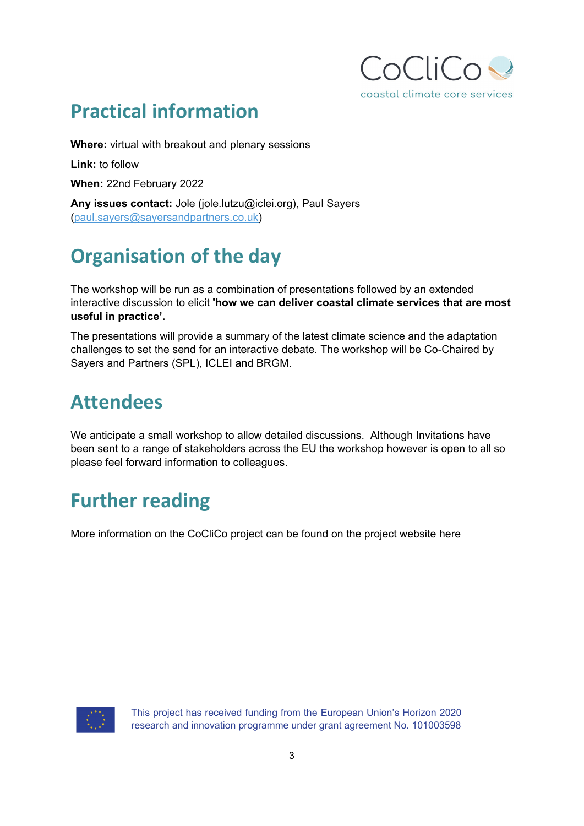

#### **Practical information**

**Where:** virtual with breakout and plenary sessions

**Link:** to follow

**When:** 22nd February 2022

**Any issues contact:** Jole (jole.lutzu@iclei.org), Paul Sayers (paul.sayers@sayersandpartners.co.uk)

## **Organisation of the day**

The workshop will be run as a combination of presentations followed by an extended interactive discussion to elicit **'how we can deliver coastal climate services that are most useful in practice'.** 

The presentations will provide a summary of the latest climate science and the adaptation challenges to set the send for an interactive debate. The workshop will be Co-Chaired by Sayers and Partners (SPL), ICLEI and BRGM.

#### **Attendees**

We anticipate a small workshop to allow detailed discussions. Although Invitations have been sent to a range of stakeholders across the EU the workshop however is open to all so please feel forward information to colleagues.

### **Further reading**

More information on the CoCliCo project can be found on the project website here